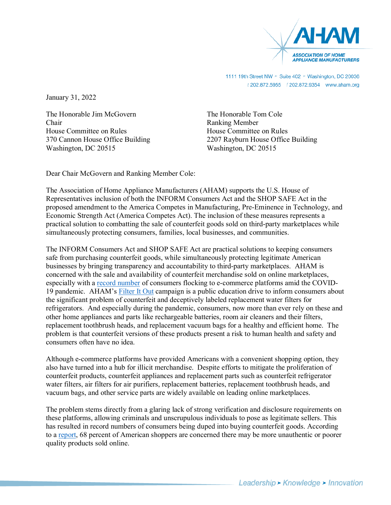

1111 19th Street NW > Suite 402 > Washington, DC 20036 

January 31, 2022

The Honorable Jim McGovern Chair House Committee on Rules 370 Cannon House Office Building Washington, DC 20515

The Honorable Tom Cole Ranking Member House Committee on Rules 2207 Rayburn House Office Building Washington, DC 20515

Dear Chair McGovern and Ranking Member Cole:

The Association of Home Appliance Manufacturers (AHAM) supports the U.S. House of Representatives inclusion of both the INFORM Consumers Act and the SHOP SAFE Act in the proposed amendment to the America Competes in Manufacturing, Pre-Eminence in Technology, and Economic Strength Act (America Competes Act). The inclusion of these measures represents a practical solution to combatting the sale of counterfeit goods sold on third-party marketplaces while simultaneously protecting consumers, families, local businesses, and communities.

The INFORM Consumers Act and SHOP SAFE Act are practical solutions to keeping consumers safe from purchasing counterfeit goods, while simultaneously protecting legitimate American businesses by bringing transparency and accountability to third-party marketplaces. AHAM is concerned with the sale and availability of counterfeit merchandise sold on online marketplaces, especially with a record number of consumers flocking to e-commerce platforms amid the COVID-19 pandemic. AHAM's Filter It Out campaign is a public education drive to inform consumers about the significant problem of counterfeit and deceptively labeled replacement water filters for refrigerators. And especially during the pandemic, consumers, now more than ever rely on these and other home appliances and parts like rechargeable batteries, room air cleaners and their filters, replacement toothbrush heads, and replacement vacuum bags for a healthy and efficient home. The problem is that counterfeit versions of these products present a risk to human health and safety and consumers often have no idea.

Although e-commerce platforms have provided Americans with a convenient shopping option, they also have turned into a hub for illicit merchandise. Despite efforts to mitigate the proliferation of counterfeit products, counterfeit appliances and replacement parts such as counterfeit refrigerator water filters, air filters for air purifiers, replacement batteries, replacement toothbrush heads, and vacuum bags, and other service parts are widely available on leading online marketplaces.

The problem stems directly from a glaring lack of strong verification and disclosure requirements on these platforms, allowing criminals and unscrupulous individuals to pose as legitimate sellers. This has resulted in record numbers of consumers being duped into buying counterfeit goods. According to a report, 68 percent of American shoppers are concerned there may be more unauthentic or poorer quality products sold online.